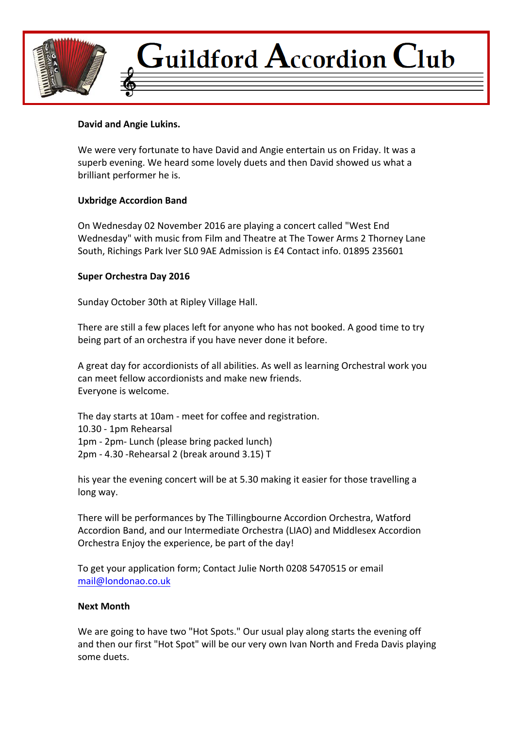

# Guildford  $\bf A$ ccordion  $\bf C$ lub

# David and Angie Lukins.

We were very fortunate to have David and Angie entertain us on Friday. It was a superb evening. We heard some lovely duets and then David showed us what a brilliant performer he is.

## **Uxbridge Accordion Band**

On Wednesday 02 November 2016 are playing a concert called "West End Wednesday" with music from Film and Theatre at The Tower Arms 2 Thorney Lane South, Richings Park Iver SL0 9AE Admission is £4 Contact info. 01895 235601

## **Super Orchestra Day 2016**

Sunday October 30th at Ripley Village Hall.

There are still a few places left for anyone who has not booked. A good time to try being part of an orchestra if you have never done it before.

A great day for accordionists of all abilities. As well as learning Orchestral work you can meet fellow accordionists and make new friends. Everyone is welcome.

The day starts at 10am - meet for coffee and registration. 10.30 - 1pm Rehearsal 1pm - 2pm- Lunch (please bring packed lunch) 2pm - 4.30 -Rehearsal 2 (break around 3.15) T

his year the evening concert will be at 5.30 making it easier for those travelling a long way.

There will be performances by The Tillingbourne Accordion Orchestra, Watford Accordion Band, and our Intermediate Orchestra (LIAO) and Middlesex Accordion Orchestra Enjoy the experience, be part of the day!

To get your application form; Contact Julie North 0208 5470515 or email mail@londonao.co.uk

#### **Next Month**

We are going to have two "Hot Spots." Our usual play along starts the evening off and then our first "Hot Spot" will be our very own Ivan North and Freda Davis playing some duets